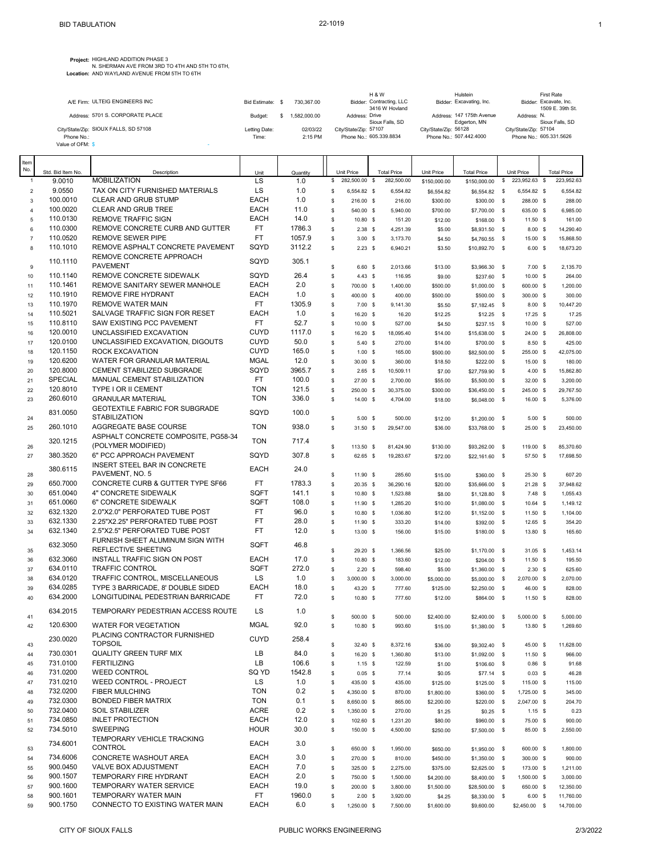**Project:** HIGHLAND ADDITION PHASE 3

N. SHERMAN AVE FROM 3RD TO 4TH AND 5TH TO 6TH,<br>**Location:** AND WAYLAND AVENUE FROM 5TH TO 6TH

|                                       |                  |              | <b>H&amp;W</b>                             | Hulstein                                  | <b>First Rate</b>                          |
|---------------------------------------|------------------|--------------|--------------------------------------------|-------------------------------------------|--------------------------------------------|
| A/E Firm: ULTEIG ENGINEERS INC        | Bid Estimate: \$ | 730.367.00   | Bidder: Contracting, LLC<br>3416 W Hovland | Bidder: Excavating, Inc.                  | Bidder: Excavate, Inc.<br>1509 E. 39th St. |
| Address: 5701 S. CORPORATE PLACE      | Budget:          | 1.582.000.00 | Address: Drive<br>Sioux Falls, SD          | Address: 147 175th Avenue<br>Edgerton, MN | Address: N.<br>Sioux Falls, SD             |
| City/State/Zip: SIOUX FALLS, SD 57108 | Letting Date:    | 02/03/22     | City/State/Zip: 57107                      | City/State/Zip: 56128                     | City/State/Zip: 57104                      |
| Phone No.:<br>Value of OFM: \$        | Time:            | 2:15 PM      | Phone No.: 605.339.8834                    | Phone No.: 507.442.4000                   | Phone No.: 605.331.5626                    |

| Item           |                      |                                                             |                            |                  |                                     |                       |                    |                            |                   |                        |                     |
|----------------|----------------------|-------------------------------------------------------------|----------------------------|------------------|-------------------------------------|-----------------------|--------------------|----------------------------|-------------------|------------------------|---------------------|
| No.            | Std. Bid Item No.    | Description                                                 | Unit                       | Quantity         | Unit Price                          | <b>Total Price</b>    | Unit Price         | <b>Total Price</b>         |                   | Unit Price             | <b>Total Price</b>  |
| $\mathbf{1}$   | 9.0010               | <b>MOBILIZATION</b>                                         | LS                         | 1.0              | 282,500.00 \$<br>\$                 | 282,500.00            | \$150,000.00       | \$150,000.00               | \$                | 223,952.63             | \$<br>223,952.63    |
| $\overline{2}$ | 9.0550               | TAX ON CITY FURNISHED MATERIALS                             | LS                         | 1.0              | \$<br>6.554.82 \$                   | 6.554.82              | \$6,554.82         | \$6,554.82                 | $\mathbb{S}$      | 6,554.82 \$            | 6,554.82            |
| 3              | 100.0010             | CLEAR AND GRUB STUMP                                        | <b>EACH</b>                | 1.0              | \$<br>216.00 \$                     | 216.00                | \$300.00           | \$300.00                   | $\mathbf s$       | 288.00 \$              | 288.00              |
| $\overline{4}$ | 100.0020             | CLEAR AND GRUB TREE                                         | <b>EACH</b>                | 11.0             | \$<br>540.00 \$                     | 5,940.00              | \$700.00           | \$7,700.00                 | $\mathbb{S}$      | 635.00 \$              | 6,985.00            |
| $\sqrt{5}$     | 110.0130             | <b>REMOVE TRAFFIC SIGN</b>                                  | <b>EACH</b>                | 14.0             | \$<br>10.80 \$                      | 151.20                | \$12.00            | \$168.00                   | $\mathbf{s}$      | $11.50$ \$             | 161.00              |
| 6              | 110.0300<br>110.0520 | REMOVE CONCRETE CURB AND GUTTER<br><b>REMOVE SEWER PIPE</b> | FT.<br>FT.                 | 1786.3<br>1057.9 | \$<br>$2.38$ \$                     | 4,251.39              | \$5.00             | \$8,931.50 \$              |                   | 8.00 S                 | 14,290.40           |
| $\overline{7}$ | 110.1010             | REMOVE ASPHALT CONCRETE PAVEMENT                            | SQYD                       | 3112.2           | \$<br>$3.00$ \$                     | 3,173.70              | \$4.50             | \$4,760.55                 | $\mathbb{S}$      | 15.00 \$               | 15,868.50           |
| 8              |                      | REMOVE CONCRETE APPROACH                                    |                            |                  | \$<br>$2.23$ \$                     | 6,940.21              | \$3.50             | \$10,892.70 \$             |                   | 6.00 S                 | 18,673.20           |
| $\mathbf 9$    | 110.1110             | <b>PAVEMENT</b>                                             | SQYD                       | 305.1            | \$<br>$6.60$ \$                     | 2,013.66              | \$13.00            | \$3,966.30 \$              |                   | 7.00 S                 | 2,135.70            |
| 10             | 110.1140             | REMOVE CONCRETE SIDEWALK                                    | SQYD                       | 26.4             | \$<br>$4.43$ \$                     | 116.95                | \$9.00             | \$237.60                   | \$                | $10.00$ \$             | 264.00              |
| 11             | 110.1461             | REMOVE SANITARY SEWER MANHOLE                               | <b>EACH</b>                | 2.0              | \$<br>700.00 \$                     | 1,400.00              | \$500.00           | \$1,000.00                 | \$                | 600.00 \$              | 1,200.00            |
| 12             | 110.1910             | <b>REMOVE FIRE HYDRANT</b>                                  | <b>EACH</b>                | 1.0              | \$<br>400.00 \$                     | 400.00                | \$500.00           | \$500.00                   | \$                | 300.00 \$              | 300.00              |
| 13             | 110.1970             | <b>REMOVE WATER MAIN</b>                                    | FT.                        | 1305.9           | \$<br>$7.00$ \$                     | 9,141.30              | \$5.50             | \$7,182.45                 | $\mathbb{S}$      | 8.00 S                 | 10,447.20           |
| 14             | 110.5021             | SALVAGE TRAFFIC SIGN FOR RESET                              | <b>EACH</b>                | 1.0              | \$<br>16.20 \$                      | 16.20                 | \$12.25            | \$12.25                    | $\mathbf{s}$      | 17.25 \$               | 17.25               |
| 15             | 110.8110             | SAW EXISTING PCC PAVEMENT                                   | FT.                        | 52.7             | \$<br>10.00 \$                      | 527.00                | \$4.50             | \$237.15                   | $\sqrt{3}$        | $10.00$ \$             | 527.00              |
| 16             | 120.0010             | UNCLASSIFIED EXCAVATION                                     | <b>CUYD</b>                | 1117.0           | \$<br>16.20 \$                      | 18,095.40             | \$14.00            | \$15,638.00                | $\mathsf{s}$      | 24.00 \$               | 26,808.00           |
| 17             | 120.0100             | UNCLASSIFIED EXCAVATION, DIGOUTS                            | <b>CUYD</b><br><b>CUYD</b> | 50.0<br>165.0    | \$<br>$5.40$ \$                     | 270.00                | \$14.00            | \$700.00                   | - \$              | 8.50 <sup>5</sup>      | 425.00              |
| 18             | 120.1150<br>120.6200 | ROCK EXCAVATION<br>WATER FOR GRANULAR MATERIAL              | <b>MGAL</b>                | 12.0             | \$<br>$1.00$ \$                     | 165.00                | \$500.00           | \$82,500.00                | $\sqrt{3}$        | 255.00 \$              | 42,075.00           |
| 19<br>20       | 120.8000             | CEMENT STABILIZED SUBGRADE                                  | SQYD                       | 3965.7           | \$<br>$30.00$ \$<br>\$<br>$2.65$ \$ | 360.00<br>10,509.11   | \$18.50<br>\$7.00  | \$222.00<br>\$27,759.90    | $\mathbf s$<br>\$ | 15.00 \$<br>4.00 S     | 180.00<br>15,862.80 |
| 21             | <b>SPECIAL</b>       | MANUAL CEMENT STABILIZATION                                 | FT.                        | 100.0            | \$<br>27.00 \$                      | 2,700.00              | \$55.00            | \$5,500.00                 | -\$               | 32.00 \$               | 3,200.00            |
| 22             | 120.8010             | TYPE I OR II CEMENT                                         | <b>TON</b>                 | 121.5            | \$<br>250.00 \$                     | 30,375.00             | \$300.00           | \$36,450.00                | <b>S</b>          | 245.00 \$              | 29,767.50           |
| 23             | 260.6010             | <b>GRANULAR MATERIAL</b>                                    | <b>TON</b>                 | 336.0            | \$<br>14.00 \$                      | 4,704.00              | \$18.00            | \$6,048.00                 | \$                | 16.00 \$               | 5,376.00            |
|                |                      | <b>GEOTEXTILE FABRIC FOR SUBGRADE</b>                       |                            |                  |                                     |                       |                    |                            |                   |                        |                     |
| 24             | 831.0050             | <b>STABILIZATION</b>                                        | SQYD                       | 100.0            | \$<br>$5.00$ \$                     | 500.00                | \$12.00            | \$1,200.00                 | \$                | $5.00$ \$              | 500.00              |
| 25             | 260.1010             | AGGREGATE BASE COURSE                                       | <b>TON</b>                 | 938.0            | \$<br>$31.50$ \$                    | 29.547.00             | \$36.00            | \$33,768.00 \$             |                   | $25.00$ \$             | 23,450.00           |
|                | 320.1215             | ASPHALT CONCRETE COMPOSITE, PG58-34                         | <b>TON</b>                 | 717.4            |                                     |                       |                    |                            |                   |                        |                     |
| 26             |                      | (POLYMER MODIFIED)                                          |                            |                  | \$<br>113.50 \$                     | 81,424.90             | \$130.00           | \$93,262.00 \$             |                   | 119.00 \$              | 85,370.60           |
| 27             | 380.3520             | 6" PCC APPROACH PAVEMENT                                    | SQYD                       | 307.8            | \$<br>62.65 \$                      | 19,283.67             | \$72.00            | \$22,161.60 \$             |                   | 57.50 \$               | 17,698.50           |
|                | 380.6115             | INSERT STEEL BAR IN CONCRETE<br>PAVEMENT, NO. 5             | <b>EACH</b>                | 24.0             |                                     |                       |                    |                            |                   |                        |                     |
| 28<br>29       | 650.7000             | CONCRETE CURB & GUTTER TYPE SF66                            | FT.                        | 1783.3           | \$<br>11.90 \$<br>\$<br>20.35 \$    | 285.60                | \$15.00<br>\$20.00 | \$360.00 \$<br>\$35,666.00 | <b>S</b>          | 25.30 \$<br>$21.28$ \$ | 607.20<br>37,948.62 |
| 30             | 651.0040             | 4" CONCRETE SIDEWALK                                        | SQFT                       | 141.1            | \$<br>10.80 \$                      | 36,290.16<br>1,523.88 | \$8.00             | \$1,128.80                 | - \$              | $7.48$ \$              | 1,055.43            |
| 31             | 651.0060             | 6" CONCRETE SIDEWALK                                        | SQFT                       | 108.0            | \$<br>11.90 \$                      | 1,285.20              | \$10.00            | \$1,080.00                 | \$                | $10.64$ \$             | 1,149.12            |
| 32             | 632.1320             | 2.0"X2.0" PERFORATED TUBE POST                              | FT.                        | 96.0             | \$<br>10.80 \$                      | 1,036.80              | \$12.00            | \$1,152.00                 | \$                | $11.50$ \$             | 1,104.00            |
| 33             | 632.1330             | 2.25"X2.25" PERFORATED TUBE POST                            | <b>FT</b>                  | 28.0             | \$<br>11.90 \$                      | 333.20                | \$14.00            | \$392.00                   | \$                | 12.65 \$               | 354.20              |
| 34             | 632.1340             | 2.5"X2.5" PERFORATED TUBE POST                              | <b>FT</b>                  | 12.0             | \$<br>13.00 \$                      | 156.00                | \$15.00            | \$180.00                   | - \$              | 13.80 \$               | 165.60              |
|                | 632.3050             | FURNISH SHEET ALUMINUM SIGN WITH                            | SQFT                       | 46.8             |                                     |                       |                    |                            |                   |                        |                     |
| 35             |                      | REFLECTIVE SHEETING                                         |                            |                  | \$<br>29.20 \$                      | 1,366.56              | \$25.00            | \$1,170.00                 | $^{\circ}$        | $31.05$ \$             | 1,453.14            |
| 36             | 632.3060             | INSTALL TRAFFIC SIGN ON POST                                | <b>EACH</b>                | 17.0             | \$<br>10.80 \$                      | 183.60                | \$12.00            | \$204.00 \$                |                   | 11.50 \$               | 195.50              |
| 37             | 634.0110             | <b>TRAFFIC CONTROL</b>                                      | SQFT                       | 272.0            | \$<br>$2.20$ \$                     | 598.40                | \$5.00             | \$1,360.00                 | $\mathsf{s}$      | $2.30$ \$              | 625.60              |
| 38             | 634.0120             | TRAFFIC CONTROL, MISCELLANEOUS                              | LS                         | 1.0              | \$<br>$3.000.00$ \$                 | 3,000.00              | \$5,000.00         | \$5,000.00 \$              |                   | 2,070.00 \$            | 2,070.00            |
| 39             | 634.0285<br>634.2000 | TYPE 3 BARRICADE, 8' DOUBLE SIDED                           | <b>EACH</b><br>FT          | 18.0<br>72.0     | \$<br>43.20 \$                      | 777.60                | \$125.00           | \$2,250.00                 | - \$              | 46.00 \$               | 828.00              |
| 40             |                      | LONGITUDINAL PEDESTRIAN BARRICADE                           |                            |                  | \$<br>10.80 \$                      | 777.60                | \$12.00            | \$864.00 \$                |                   | $11.50$ \$             | 828.00              |
| 41             | 634.2015             | TEMPORARY PEDESTRIAN ACCESS ROUTE                           | LS                         | 1.0              | \$<br>500.00 \$                     | 500.00                | \$2,400.00         | \$2,400.00                 | - \$              | 5,000.00 \$            | 5,000.00            |
| 42             | 120.6300             | <b>WATER FOR VEGETATION</b>                                 | <b>MGAL</b>                | 92.0             | \$<br>10.80 \$                      | 993.60                | \$15.00            | \$1,380.00 \$              |                   | 13.80 \$               | 1,269.60            |
|                |                      | PLACING CONTRACTOR FURNISHED                                |                            |                  |                                     |                       |                    |                            |                   |                        |                     |
| 43             | 230.0020             | <b>TOPSOIL</b>                                              | <b>CUYD</b>                | 258.4            | 32.40 \$<br>\$                      | 8,372.16              | \$36.00            | \$9,302.40 \$              |                   | 45.00 \$               | 11,628.00           |
| 44             | 730.0301             | <b>QUALITY GREEN TURF MIX</b>                               | LB                         | 84.0             | \$<br>16.20 \$                      | 1,360.80              | \$13.00            | \$1,092.00 \$              |                   | 11.50 \$               | 966.00              |
| 45             | 731.0100             | <b>FERTILIZING</b>                                          | LB                         | 106.6            | \$<br>$1.15$ \$                     | 122.59                | \$1.00             | \$106.60                   | $\mathbb{S}$      | $0.86$ \$              | 91.68               |
| 46             | 731.0200             | <b>WEED CONTROL</b>                                         | SQ YD                      | 1542.8           | \$<br>$0.05$ \$                     | 77.14                 | \$0.05             | $$77.14$ \$                |                   | $0.03$ \$              | 46.28               |
| 47             | 731.0210             | WEED CONTROL - PROJECT                                      | LS                         | 1.0              | \$<br>435.00 \$                     | 435.00                | \$125.00           | $$125.00$ \$               |                   | 115.00 \$              | 115.00              |
| 48             | 732.0200             | <b>FIBER MULCHING</b>                                       | <b>TON</b>                 | 0.2              | \$<br>4,350.00 \$                   | 870.00                | \$1,800.00         | \$360.00 \$                |                   | 1,725.00 \$            | 345.00              |
| 49             | 732.0300             | <b>BONDED FIBER MATRIX</b>                                  | <b>TON</b>                 | 0.1              | \$<br>8,650.00 \$                   | 865.00                | \$2,200.00         | \$220.00                   | $\sqrt{3}$        | 2,047.00 \$            | 204.70              |
| 50             | 732.0400             | <b>SOIL STABILIZER</b>                                      | <b>ACRE</b>                | 0.2              | \$<br>1,350.00 \$                   | 270.00                | \$1.25             | \$0.25                     | -\$               | $1.15$ \$              | 0.23                |
| 51             | 734.0850<br>734.5010 | <b>INLET PROTECTION</b>                                     | <b>EACH</b><br><b>HOUR</b> | 12.0<br>30.0     | \$<br>102.60 \$                     | 1,231.20              | \$80.00            | \$960.00                   | <b>S</b>          | 75.00 \$               | 900.00              |
| 52             |                      | <b>SWEEPING</b><br>TEMPORARY VEHICLE TRACKING               |                            |                  | \$<br>150.00 \$                     | 4,500.00              | \$250.00           | \$7,500.00                 | - \$              | 85.00 \$               | 2,550.00            |
| 53             | 734.6001             | CONTROL                                                     | <b>EACH</b>                | 3.0              | \$<br>650.00 \$                     | 1,950.00              | \$650.00           | \$1,950.00 \$              |                   | 600.00 \$              | 1,800.00            |
| 54             | 734.6006             | CONCRETE WASHOUT AREA                                       | <b>EACH</b>                | 3.0              | \$<br>270.00 \$                     | 810.00                | \$450.00           | \$1,350.00 \$              |                   | 300.00 \$              | 900.00              |
| 55             | 900.0450             | VALVE BOX ADJUSTMENT                                        | <b>EACH</b>                | 7.0              | \$<br>325.00 \$                     | 2,275.00              | \$375.00           | \$2,625.00 \$              |                   | 173.00 \$              | 1,211.00            |
| 56             | 900.1507             | <b>TEMPORARY FIRE HYDRANT</b>                               | <b>EACH</b>                | 2.0              | \$<br>750.00 \$                     | 1,500.00              | \$4,200.00         | \$8,400.00                 | $\mathbb{S}$      | 1,500.00 \$            | 3,000.00            |
| 57             | 900.1600             | TEMPORARY WATER SERVICE                                     | <b>EACH</b>                | 19.0             | \$<br>200.00 \$                     | 3,800.00              | \$1,500.00         | \$28,500.00 \$             |                   | 650.00 \$              | 12,350.00           |
| 58             | 900.1601             | TEMPORARY WATER MAIN                                        | FT.                        | 1960.0           | \$<br>$2.00$ \$                     | 3,920.00              | \$4.25             | \$8,330.00                 | \$                | $6.00\%$               | 11,760.00           |
| 59             | 900.1750             | CONNECTO TO EXISTING WATER MAIN                             | <b>EACH</b>                | 6.0              | \$<br>1,250.00 \$                   | 7,500.00              | \$1,600.00         | \$9,600.00                 |                   | \$2,450.00 \$          | 14,700.00           |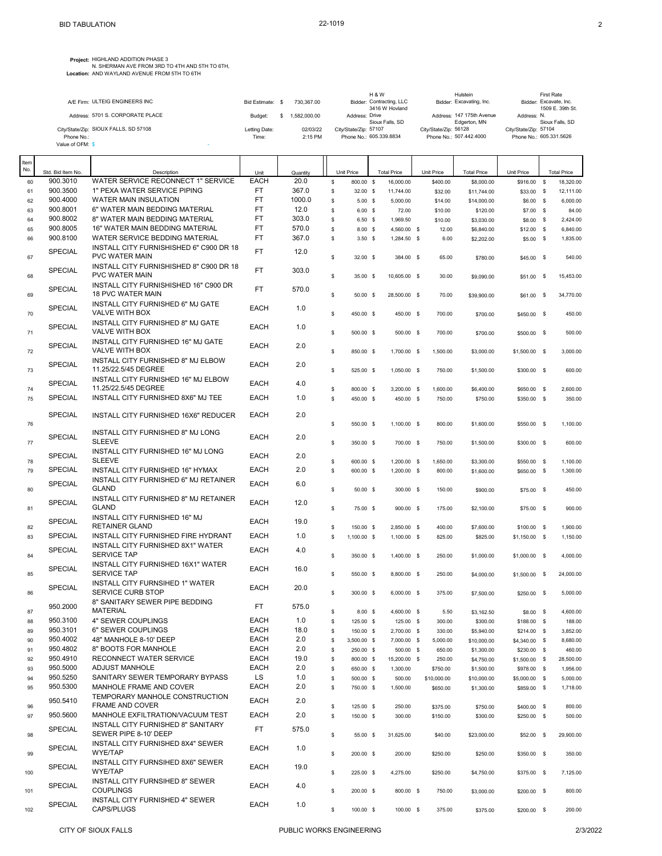**Project:** HIGHLAND ADDITION PHASE 3

N. SHERMAN AVE FROM 3RD TO 4TH AND 5TH TO 6TH,<br>**Location:** AND WAYLAND AVENUE FROM 5TH TO 6TH

| A/E Firm: ULTEIG ENGINEERS INC<br>Bidder: Contracting, LLC<br>Bidder: Excavating, Inc.<br>730.367.00<br>Bid Estimate: \$                                    |  |  | <b>H&amp;W</b> | Hulstein | First Rate                                 |
|-------------------------------------------------------------------------------------------------------------------------------------------------------------|--|--|----------------|----------|--------------------------------------------|
|                                                                                                                                                             |  |  | 3416 W Hovland |          | Bidder: Excavate, Inc.<br>1509 E. 39th St. |
| Address: 5701 S. CORPORATE PLACE<br>Address: 147 175th Avenue<br>.582.000.00<br>Address: Drive<br>Address: N.<br>Budget:<br>Sioux Falls, SD<br>Edgerton, MN |  |  |                |          | Sioux Falls, SD                            |
| City/State/Zip: SIOUX FALLS, SD 57108<br>02/03/22<br>City/State/Zip: 57104<br>Letting Date:<br>City/State/Zip: 56128<br>City/State/Zip: 57107               |  |  |                |          |                                            |
| Phone No.: 605.339.8834<br>Phone No.: 507.442.4000<br>2:15 PM<br>Phone No.:<br>Time:<br>Value of OFM: \$                                                    |  |  |                |          | Phone No.: 605.331.5626                    |

| Item |                   |                                          |             |          |                      |                    |             |                    |               |              |                    |
|------|-------------------|------------------------------------------|-------------|----------|----------------------|--------------------|-------------|--------------------|---------------|--------------|--------------------|
| No.  | Std. Bid Item No. | Description                              | Unit        | Quantity | Unit Price           | <b>Total Price</b> | Unit Price  | <b>Total Price</b> | Unit Price    |              | <b>Total Price</b> |
| 60   | 900.3010          | WATER SERVICE RECONNECT 1" SERVICE       | <b>EACH</b> | 20.0     | \$<br>800.00 \$      | 16,000.00          |             |                    | \$916.00 \$   |              | 18,320.00          |
|      |                   |                                          |             |          |                      |                    | \$400.00    | \$8,000.00         |               |              |                    |
| 61   | 900.3500          | 1" PEXA WATER SERVICE PIPING             | FT          | 367.0    | \$<br>$32.00$ \$     | 11,744.00          | \$32.00     | \$11,744.00        | \$33.00 \$    |              | 12,111.00          |
| 62   | 900.4000          | WATER MAIN INSULATION                    | <b>FT</b>   | 1000.0   | \$<br>$5.00$ \$      | 5,000.00           | \$14.00     | \$14,000.00        | \$6.00 \$     |              | 6,000.00           |
| 63   | 900.8001          | 6" WATER MAIN BEDDING MATERIAL           | <b>FT</b>   | 12.0     | \$<br>$6.00\quad$ \$ | 72.00              | \$10.00     | \$120.00           | $$7.00$ \$    |              | 84.00              |
| 64   | 900.8002          | 8" WATER MAIN BEDDING MATERIAL           | <b>FT</b>   | 303.0    | \$<br>6.50%          | 1,969.50           | \$10.00     | \$3,030.00         | \$8.00        | - \$         | 2,424.00           |
|      | 900.8005          | 16" WATER MAIN BEDDING MATERIAL          | <b>FT</b>   | 570.0    |                      |                    |             |                    |               |              |                    |
| 65   |                   |                                          |             |          | \$<br>$8.00\%$       | 4,560.00 \$        | 12.00       | \$6,840.00         | \$12.00       | - \$         | 6,840.00           |
| 66   | 900.8100          | WATER SERVICE BEDDING MATERIAL           | <b>FT</b>   | 367.0    | \$<br>$3.50$ \$      | 1,284.50 \$        | 6.00        | \$2,202.00         | \$5.00        | - \$         | 1,835.00           |
|      |                   | INSTALL CITY FURNISHISHED 6" C900 DR 18  | <b>FT</b>   |          |                      |                    |             |                    |               |              |                    |
| 67   | <b>SPECIAL</b>    | <b>PVC WATER MAIN</b>                    |             | 12.0     | \$<br>32.00 \$       | 384.00 \$          | 65.00       | \$780.00           | \$45.00       | $\mathbf s$  | 540.00             |
|      |                   | INSTALL CITY FURNISHISHED 8" C900 DR 18  |             |          |                      |                    |             |                    |               |              |                    |
|      | <b>SPECIAL</b>    |                                          | <b>FT</b>   | 303.0    |                      |                    |             |                    |               |              |                    |
| 68   |                   | <b>PVC WATER MAIN</b>                    |             |          | \$<br>35.00 \$       | 10,605.00 \$       | 30.00       | \$9,090.00         | \$51.00       | - \$         | 15,453.00          |
|      | <b>SPECIAL</b>    | INSTALL CITY FURNISHISHED 16" C900 DR    | <b>FT</b>   | 570.0    |                      |                    |             |                    |               |              |                    |
| 69   |                   | <b>18 PVC WATER MAIN</b>                 |             |          | \$<br>$50.00$ \$     | 28,500.00 \$       | 70.00       | \$39,900.00        | \$61.00       | $\mathbf s$  | 34,770.00          |
|      |                   | INSTALL CITY FURNISHED 6" MJ GATE        |             |          |                      |                    |             |                    |               |              |                    |
|      | <b>SPECIAL</b>    |                                          | <b>EACH</b> | 1.0      |                      |                    |             |                    |               |              |                    |
| 70   |                   | VALVE WITH BOX                           |             |          | \$<br>450.00 \$      | 450.00 \$          | 700.00      | \$700.00           | \$450.00      | - \$         | 450.00             |
|      | <b>SPECIAL</b>    | INSTALL CITY FURNISHED 8" MJ GATE        | EACH        | 1.0      |                      |                    |             |                    |               |              |                    |
| 71   |                   | VALVE WITH BOX                           |             |          | \$<br>500.00 \$      | 500.00 \$          | 700.00      | \$700.00           | \$500.00 \$   |              | 500.00             |
|      |                   | INSTALL CITY FURNISHED 16" MJ GATE       |             |          |                      |                    |             |                    |               |              |                    |
|      | <b>SPECIAL</b>    | <b>VALVE WITH BOX</b>                    | <b>EACH</b> | 2.0      |                      |                    |             |                    |               |              |                    |
| 72   |                   |                                          |             |          | \$<br>850.00 \$      | 1,700.00 \$        | 1,500.00    | \$3,000.00         | \$1,500.00 \$ |              | 3,000.00           |
|      | <b>SPECIAL</b>    | INSTALL CITY FURNISHED 8" MJ ELBOW       | <b>EACH</b> | 2.0      |                      |                    |             |                    |               |              |                    |
| 73   |                   | 11.25/22.5/45 DEGREE                     |             |          | \$<br>525.00 \$      | 1,050.00 \$        | 750.00      | \$1,500.00         | \$300.00 \$   |              | 600.00             |
|      |                   | INSTALL CITY FURNISHED 16" MJ ELBOW      |             |          |                      |                    |             |                    |               |              |                    |
|      | <b>SPECIAL</b>    | 11.25/22.5/45 DEGREE                     | <b>EACH</b> | 4.0      |                      |                    |             |                    |               |              |                    |
| 74   |                   |                                          |             |          | \$<br>800.00 \$      | 3,200.00 \$        | 1,600.00    | \$6,400.00         | \$650.00 \$   |              | 2,600.00           |
| 75   | <b>SPECIAL</b>    | INSTALL CITY FURNISHED 8X6" MJ TEE       | <b>EACH</b> | 1.0      | \$<br>450.00 \$      | 450.00 \$          | 750.00      | \$750.00           | \$350.00 \$   |              | 350.00             |
|      |                   |                                          |             |          |                      |                    |             |                    |               |              |                    |
|      | <b>SPECIAL</b>    | INSTALL CITY FURNISHED 16X6" REDUCER     | <b>EACH</b> | 2.0      |                      |                    |             |                    |               |              |                    |
| 76   |                   |                                          |             |          | \$<br>550.00 \$      | 1,100.00 \$        | 800.00      | \$1,600.00         | \$550.00      | - \$         | 1,100.00           |
|      |                   | INSTALL CITY FURNISHED 8" MJ LONG        |             |          |                      |                    |             |                    |               |              |                    |
| 77   | <b>SPECIAL</b>    | <b>SLEEVE</b>                            | <b>EACH</b> | 2.0      | \$<br>350.00 \$      | 700.00 \$          | 750.00      | \$1,500.00         | \$300.00 \$   |              | 600.00             |
|      |                   |                                          |             |          |                      |                    |             |                    |               |              |                    |
|      | <b>SPECIAL</b>    | INSTALL CITY FURNISHED 16" MJ LONG       | <b>EACH</b> | 2.0      |                      |                    |             |                    |               |              |                    |
| 78   |                   | <b>SLEEVE</b>                            |             |          | \$<br>600.00 \$      | 1,200.00 \$        | 1,650.00    | \$3,300.00         | \$550.00      | $^{\circ}$   | 1,100.00           |
| 79   | <b>SPECIAL</b>    | INSTALL CITY FURNISHED 16" HYMAX         | <b>EACH</b> | 2.0      | \$<br>600.00 \$      | 1,200.00 \$        | 800.00      | \$1,600.00         | \$650.00      | - \$         | 1,300.00           |
|      |                   | INSTALL CITY FURNISHED 6" MJ RETAINER    |             |          |                      |                    |             |                    |               |              |                    |
|      | SPECIAL           | <b>GLAND</b>                             | <b>EACH</b> | 6.0      |                      |                    |             |                    |               |              |                    |
| 80   |                   |                                          |             |          | \$<br>$50.00$ \$     | 300.00 \$          | 150.00      | \$900.00           | \$75.00 \$    |              | 450.00             |
|      | <b>SPECIAL</b>    | INSTALL CITY FURNISHED 8" MJ RETAINER    | <b>EACH</b> | 12.0     |                      |                    |             |                    |               |              |                    |
| 81   |                   | <b>GLAND</b>                             |             |          | \$<br>75.00 \$       | 900.00 \$          | 175.00      | \$2,100.00         | \$75.00       | $^{\circ}$   | 900.00             |
|      |                   | INSTALL CITY FURNISHED 16" MJ            |             |          |                      |                    |             |                    |               |              |                    |
|      | <b>SPECIAL</b>    | <b>RETAINER GLAND</b>                    | <b>EACH</b> | 19.0     |                      |                    |             |                    |               |              |                    |
| 82   |                   |                                          |             |          | \$<br>150.00 \$      | 2,850.00 \$        | 400.00      | \$7,600.00         | \$100.00      | $\mathbf s$  | 1,900.00           |
| 83   | <b>SPECIAL</b>    | INSTALL CITY FURNISHED FIRE HYDRANT      | <b>EACH</b> | 1.0      | \$<br>1,100.00 \$    | 1,100.00 \$        | 825.00      | \$825.00           | \$1,150.00    | - \$         | 1,150.00           |
|      |                   | INSTALL CITY FURNISHED 8X1" WATER        |             |          |                      |                    |             |                    |               |              |                    |
| 84   | <b>SPECIAL</b>    | <b>SERVICE TAP</b>                       | <b>EACH</b> | 4.0      | \$<br>350.00 \$      | 1,400.00 \$        | 250.00      | \$1,000.00         | \$1,000.00 \$ |              | 4,000.00           |
|      |                   | INSTALL CITY FURNISHED 16X1" WATER       |             |          |                      |                    |             |                    |               |              |                    |
|      | <b>SPECIAL</b>    |                                          | <b>EACH</b> | 16.0     |                      |                    |             |                    |               |              |                    |
| 85   |                   | <b>SERVICE TAP</b>                       |             |          | \$<br>550.00 \$      | 8,800.00 \$        | 250.00      | \$4,000.00         | \$1,500.00    | - \$         | 24,000.00          |
|      | <b>SPECIAL</b>    | <b>INSTALL CITY FURNSIHED 1" WATER</b>   | <b>EACH</b> | 20.0     |                      |                    |             |                    |               |              |                    |
| 86   |                   | <b>SERVICE CURB STOP</b>                 |             |          | \$<br>300.00 \$      | 6,000.00 \$        | 375.00      | \$7,500.00         | \$250.00 \$   |              | 5,000.00           |
|      |                   | 8" SANITARY SEWER PIPE BEDDING           |             |          |                      |                    |             |                    |               |              |                    |
|      | 950.2000          | <b>MATERIAL</b>                          | <b>FT</b>   | 575.0    |                      |                    |             |                    |               |              |                    |
| 87   |                   |                                          |             |          | \$<br>$8.00\%$       | 4,600.00 \$        | 5.50        | \$3,162.50         | \$8.00        | $\mathbf s$  | 4,600.00           |
| 88   | 950.3100          | 4" SEWER COUPLINGS                       | EACH        | 1.0      | \$<br>125.00 \$      | 125.00 \$          | 300.00      | \$300.00           | \$188.00      | - \$         | 188.00             |
| 89   | 950.3101          | 6" SEWER COUPLINGS                       | <b>EACH</b> | 18.0     | \$<br>150.00 \$      | 2,700.00 \$        | 330.00      | \$5,940.00         | \$214.00      | $\mathbb{S}$ | 3,852.00           |
| 90   | 950.4002          | 48" MANHOLE 8-10' DEEP                   | <b>EACH</b> | 2.0      | \$<br>3,500.00 \$    | 7,000.00 \$        | 5,000.00    | \$10,000.00        | \$4,340.00 \$ |              | 8,680.00           |
|      | 950.4802          | 8" BOOTS FOR MANHOLE                     | <b>EACH</b> | 2.0      |                      |                    |             |                    |               |              |                    |
| 91   |                   |                                          |             |          | \$<br>250.00 \$      | 500.00 \$          | 650.00      | \$1,300.00         | \$230.00 \$   |              | 460.00             |
| 92   | 950.4910          | <b>RECONNECT WATER SERVICE</b>           | <b>EACH</b> | 19.0     | \$<br>800.00 \$      | 15,200.00 \$       | 250.00      | \$4,750.00         | \$1,500.00 \$ |              | 28,500.00          |
| 93   | 950.5000          | <b>ADJUST MANHOLE</b>                    | <b>EACH</b> | 2.0      | \$<br>650.00 \$      | 1,300.00           | \$750.00    | \$1,500.00         | \$978.00 \$   |              | 1,956.00           |
| 94   | 950.5250          | SANITARY SEWER TEMPORARY BYPASS          | LS.         | 1.0      | \$<br>500.00 \$      | 500.00             | \$10,000.00 | \$10,000.00        | \$5,000.00 \$ |              | 5,000.00           |
| 95   | 950.5300          | MANHOLE FRAME AND COVER                  | <b>EACH</b> | 2.0      | \$<br>750.00 \$      | 1,500.00           | \$650.00    | \$1,300.00         | \$859.00 \$   |              | 1,718.00           |
|      |                   |                                          |             |          |                      |                    |             |                    |               |              |                    |
|      | 950.5410          | TEMPORARY MANHOLE CONSTRUCTION           | <b>EACH</b> | 2.0      |                      |                    |             |                    |               |              |                    |
| 96   |                   | FRAME AND COVER                          |             |          | \$<br>125.00 \$      | 250.00             | \$375.00    | \$750.00           | \$400.00 \$   |              | 800.00             |
| 97   | 950.5600          | MANHOLE EXFILTRATION/VACUUM TEST         | <b>EACH</b> | 2.0      | \$<br>150.00 \$      | 300.00             | \$150.00    | \$300.00           | \$250.00 \$   |              | 500.00             |
|      |                   | INSTALL CITY FURNISHED 8" SANITARY       |             |          |                      |                    |             |                    |               |              |                    |
|      | <b>SPECIAL</b>    | SEWER PIPE 8-10' DEEP                    | FT.         | 575.0    | \$                   |                    |             | \$23,000.00        |               |              | 29,900.00          |
| 98   |                   |                                          |             |          | 55.00 \$             | 31,625.00          | \$40.00     |                    | \$52.00 \$    |              |                    |
|      | <b>SPECIAL</b>    | INSTALL CITY FURNISHED 8X4" SEWER        | <b>EACH</b> | 1.0      |                      |                    |             |                    |               |              |                    |
| 99   |                   | WYE/TAP                                  |             |          | \$<br>200.00 \$      | 200.00             | \$250.00    | \$250.00           | \$350.00 \$   |              | 350.00             |
|      |                   | <b>INSTALL CITY FURNSIHED 8X6" SEWER</b> |             |          |                      |                    |             |                    |               |              |                    |
| 100  | <b>SPECIAL</b>    | <b>WYE/TAP</b>                           | <b>EACH</b> | 19.0     | \$<br>225.00 \$      | 4,275.00           | \$250.00    | \$4,750.00         | \$375.00 \$   |              | 7,125.00           |
|      |                   |                                          |             |          |                      |                    |             |                    |               |              |                    |
|      | <b>SPECIAL</b>    | INSTALL CITY FURNSIHED 8" SEWER          | <b>EACH</b> | 4.0      |                      |                    |             |                    |               |              |                    |
| 101  |                   | <b>COUPLINGS</b>                         |             |          | \$<br>200.00 \$      | 800.00 \$          | 750.00      | \$3,000.00         | \$200.00 \$   |              | 800.00             |
|      | <b>SPECIAL</b>    | INSTALL CITY FURNISHED 4" SEWER          | <b>EACH</b> | 1.0      |                      |                    |             |                    |               |              |                    |
| 102  |                   | CAPS/PLUGS                               |             |          | \$<br>100.00 \$      | 100.00 \$          | 375.00      | \$375.00           | \$200.00 \$   |              | 200.00             |
|      |                   |                                          |             |          |                      |                    |             |                    |               |              |                    |